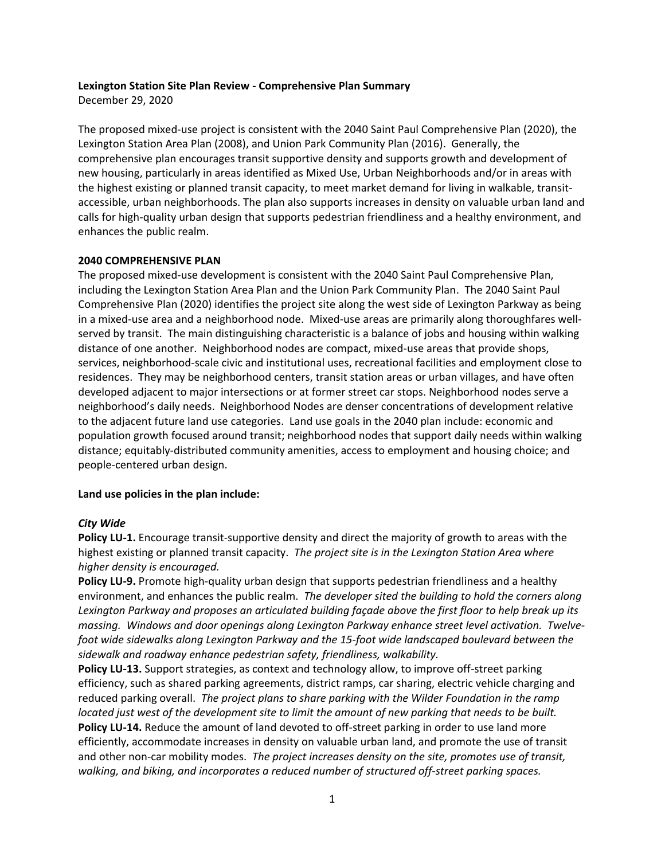#### **Lexington Station Site Plan Review - Comprehensive Plan Summary**

December 29, 2020

The proposed mixed-use project is consistent with the 2040 Saint Paul Comprehensive Plan (2020), the Lexington Station Area Plan (2008), and Union Park Community Plan (2016). Generally, the comprehensive plan encourages transit supportive density and supports growth and development of new housing, particularly in areas identified as Mixed Use, Urban Neighborhoods and/or in areas with the highest existing or planned transit capacity, to meet market demand for living in walkable, transitaccessible, urban neighborhoods. The plan also supports increases in density on valuable urban land and calls for high-quality urban design that supports pedestrian friendliness and a healthy environment, and enhances the public realm.

# **2040 COMPREHENSIVE PLAN**

The proposed mixed-use development is consistent with the 2040 Saint Paul Comprehensive Plan, including the Lexington Station Area Plan and the Union Park Community Plan. The 2040 Saint Paul Comprehensive Plan (2020) identifies the project site along the west side of Lexington Parkway as being in a mixed-use area and a neighborhood node. Mixed-use areas are primarily along thoroughfares wellserved by transit. The main distinguishing characteristic is a balance of jobs and housing within walking distance of one another. Neighborhood nodes are compact, mixed-use areas that provide shops, services, neighborhood-scale civic and institutional uses, recreational facilities and employment close to residences. They may be neighborhood centers, transit station areas or urban villages, and have often developed adjacent to major intersections or at former street car stops. Neighborhood nodes serve a neighborhood's daily needs. Neighborhood Nodes are denser concentrations of development relative to the adjacent future land use categories. Land use goals in the 2040 plan include: economic and population growth focused around transit; neighborhood nodes that support daily needs within walking distance; equitably-distributed community amenities, access to employment and housing choice; and people-centered urban design.

# **Land use policies in the plan include:**

# *City Wide*

**Policy LU-1.** Encourage transit-supportive density and direct the majority of growth to areas with the highest existing or planned transit capacity. *The project site is in the Lexington Station Area where higher density is encouraged.* 

**Policy LU-9.** Promote high-quality urban design that supports pedestrian friendliness and a healthy environment, and enhances the public realm. *The developer sited the building to hold the corners along Lexington Parkway and proposes an articulated building façade above the first floor to help break up its massing. Windows and door openings along Lexington Parkway enhance street level activation. Twelvefoot wide sidewalks along Lexington Parkway and the 15-foot wide landscaped boulevard between the sidewalk and roadway enhance pedestrian safety, friendliness, walkability.*

**Policy LU-13.** Support strategies, as context and technology allow, to improve off-street parking efficiency, such as shared parking agreements, district ramps, car sharing, electric vehicle charging and reduced parking overall. *The project plans to share parking with the Wilder Foundation in the ramp located just west of the development site to limit the amount of new parking that needs to be built.* **Policy LU-14.** Reduce the amount of land devoted to off-street parking in order to use land more efficiently, accommodate increases in density on valuable urban land, and promote the use of transit and other non-car mobility modes. *The project increases density on the site, promotes use of transit, walking, and biking, and incorporates a reduced number of structured off-street parking spaces.*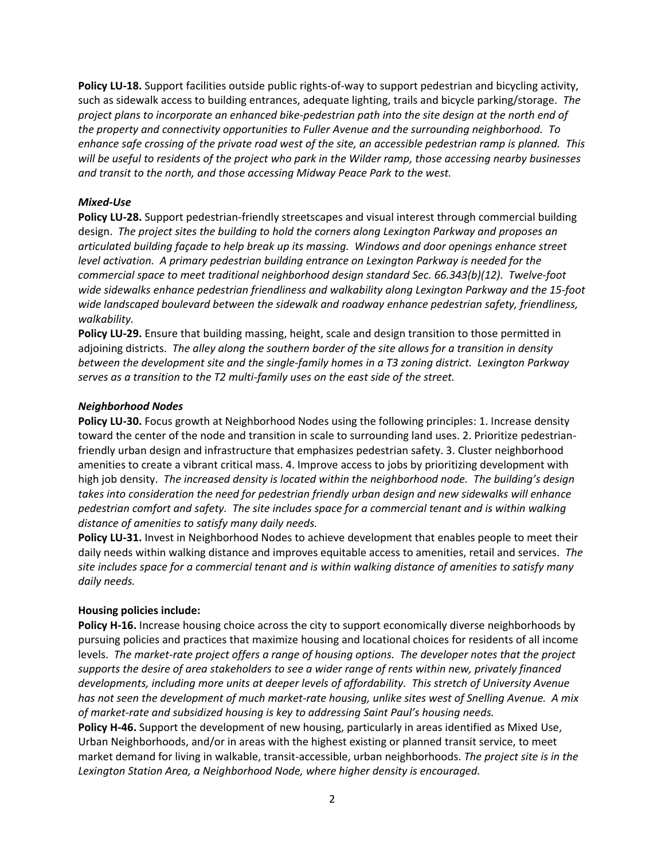**Policy LU-18.** Support facilities outside public rights-of-way to support pedestrian and bicycling activity, such as sidewalk access to building entrances, adequate lighting, trails and bicycle parking/storage. *The project plans to incorporate an enhanced bike-pedestrian path into the site design at the north end of the property and connectivity opportunities to Fuller Avenue and the surrounding neighborhood. To enhance safe crossing of the private road west of the site, an accessible pedestrian ramp is planned. This will be useful to residents of the project who park in the Wilder ramp, those accessing nearby businesses and transit to the north, and those accessing Midway Peace Park to the west.* 

### *Mixed-Use*

**Policy LU-28.** Support pedestrian-friendly streetscapes and visual interest through commercial building design. *The project sites the building to hold the corners along Lexington Parkway and proposes an articulated building façade to help break up its massing. Windows and door openings enhance street level activation. A primary pedestrian building entrance on Lexington Parkway is needed for the commercial space to meet traditional neighborhood design standard Sec. 66.343(b)(12). Twelve-foot wide sidewalks enhance pedestrian friendliness and walkability along Lexington Parkway and the 15-foot wide landscaped boulevard between the sidewalk and roadway enhance pedestrian safety, friendliness, walkability.*

**Policy LU-29.** Ensure that building massing, height, scale and design transition to those permitted in adjoining districts. *The alley along the southern border of the site allows for a transition in density between the development site and the single-family homes in a T3 zoning district. Lexington Parkway serves as a transition to the T2 multi-family uses on the east side of the street.* 

#### *Neighborhood Nodes*

**Policy LU-30.** Focus growth at Neighborhood Nodes using the following principles: 1. Increase density toward the center of the node and transition in scale to surrounding land uses. 2. Prioritize pedestrianfriendly urban design and infrastructure that emphasizes pedestrian safety. 3. Cluster neighborhood amenities to create a vibrant critical mass. 4. Improve access to jobs by prioritizing development with high job density. *The increased density is located within the neighborhood node. The building's design takes into consideration the need for pedestrian friendly urban design and new sidewalks will enhance pedestrian comfort and safety. The site includes space for a commercial tenant and is within walking distance of amenities to satisfy many daily needs.* 

**Policy LU-31.** Invest in Neighborhood Nodes to achieve development that enables people to meet their daily needs within walking distance and improves equitable access to amenities, retail and services. *The site includes space for a commercial tenant and is within walking distance of amenities to satisfy many daily needs.* 

# **Housing policies include:**

**Policy H-16.** Increase housing choice across the city to support economically diverse neighborhoods by pursuing policies and practices that maximize housing and locational choices for residents of all income levels. *The market-rate project offers a range of housing options. The developer notes that the project supports the desire of area stakeholders to see a wider range of rents within new, privately financed developments, including more units at deeper levels of affordability. This stretch of University Avenue has not seen the development of much market-rate housing, unlike sites west of Snelling Avenue. A mix of market-rate and subsidized housing is key to addressing Saint Paul's housing needs.*

**Policy H-46.** Support the development of new housing, particularly in areas identified as Mixed Use, Urban Neighborhoods, and/or in areas with the highest existing or planned transit service, to meet market demand for living in walkable, transit-accessible, urban neighborhoods. *The project site is in the Lexington Station Area, a Neighborhood Node, where higher density is encouraged.*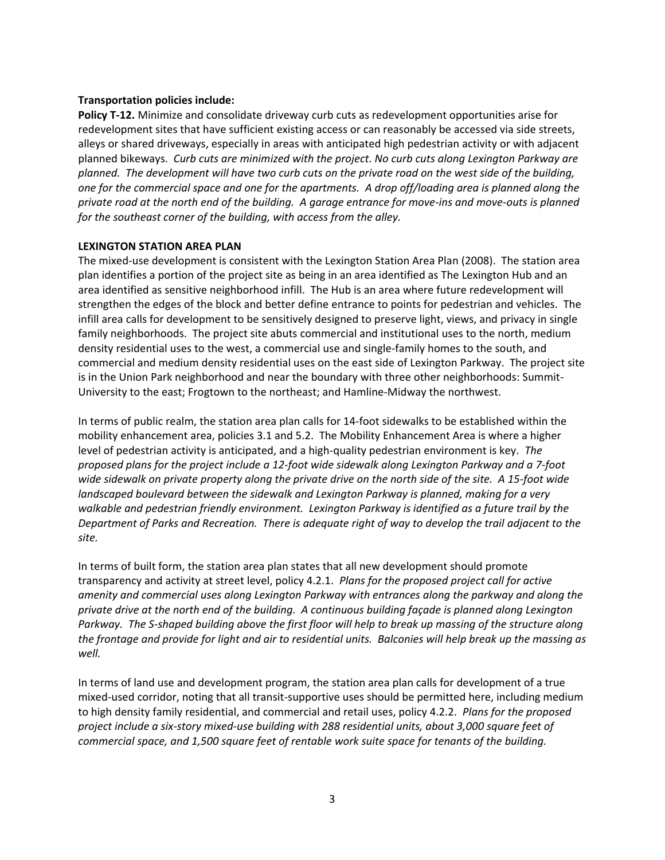### **Transportation policies include:**

**Policy T-12.** Minimize and consolidate driveway curb cuts as redevelopment opportunities arise for redevelopment sites that have sufficient existing access or can reasonably be accessed via side streets, alleys or shared driveways, especially in areas with anticipated high pedestrian activity or with adjacent planned bikeways. *Curb cuts are minimized with the project. No curb cuts along Lexington Parkway are planned. The development will have two curb cuts on the private road on the west side of the building, one for the commercial space and one for the apartments. A drop off/loading area is planned along the private road at the north end of the building. A garage entrance for move-ins and move-outs is planned for the southeast corner of the building, with access from the alley.* 

#### **LEXINGTON STATION AREA PLAN**

The mixed-use development is consistent with the Lexington Station Area Plan (2008). The station area plan identifies a portion of the project site as being in an area identified as The Lexington Hub and an area identified as sensitive neighborhood infill. The Hub is an area where future redevelopment will strengthen the edges of the block and better define entrance to points for pedestrian and vehicles. The infill area calls for development to be sensitively designed to preserve light, views, and privacy in single family neighborhoods. The project site abuts commercial and institutional uses to the north, medium density residential uses to the west, a commercial use and single-family homes to the south, and commercial and medium density residential uses on the east side of Lexington Parkway. The project site is in the Union Park neighborhood and near the boundary with three other neighborhoods: Summit-University to the east; Frogtown to the northeast; and Hamline-Midway the northwest.

In terms of public realm, the station area plan calls for 14-foot sidewalks to be established within the mobility enhancement area, policies 3.1 and 5.2. The Mobility Enhancement Area is where a higher level of pedestrian activity is anticipated, and a high-quality pedestrian environment is key. *The proposed plans for the project include a 12-foot wide sidewalk along Lexington Parkway and a 7-foot wide sidewalk on private property along the private drive on the north side of the site. A 15-foot wide landscaped boulevard between the sidewalk and Lexington Parkway is planned, making for a very walkable and pedestrian friendly environment. Lexington Parkway is identified as a future trail by the Department of Parks and Recreation. There is adequate right of way to develop the trail adjacent to the site.*

In terms of built form, the station area plan states that all new development should promote transparency and activity at street level, policy 4.2.1. *Plans for the proposed project call for active amenity and commercial uses along Lexington Parkway with entrances along the parkway and along the private drive at the north end of the building. A continuous building façade is planned along Lexington Parkway. The S-shaped building above the first floor will help to break up massing of the structure along the frontage and provide for light and air to residential units. Balconies will help break up the massing as well.* 

In terms of land use and development program, the station area plan calls for development of a true mixed-used corridor, noting that all transit-supportive uses should be permitted here, including medium to high density family residential, and commercial and retail uses, policy 4.2.2. *Plans for the proposed project include a six-story mixed-use building with 288 residential units, about 3,000 square feet of commercial space, and 1,500 square feet of rentable work suite space for tenants of the building.*